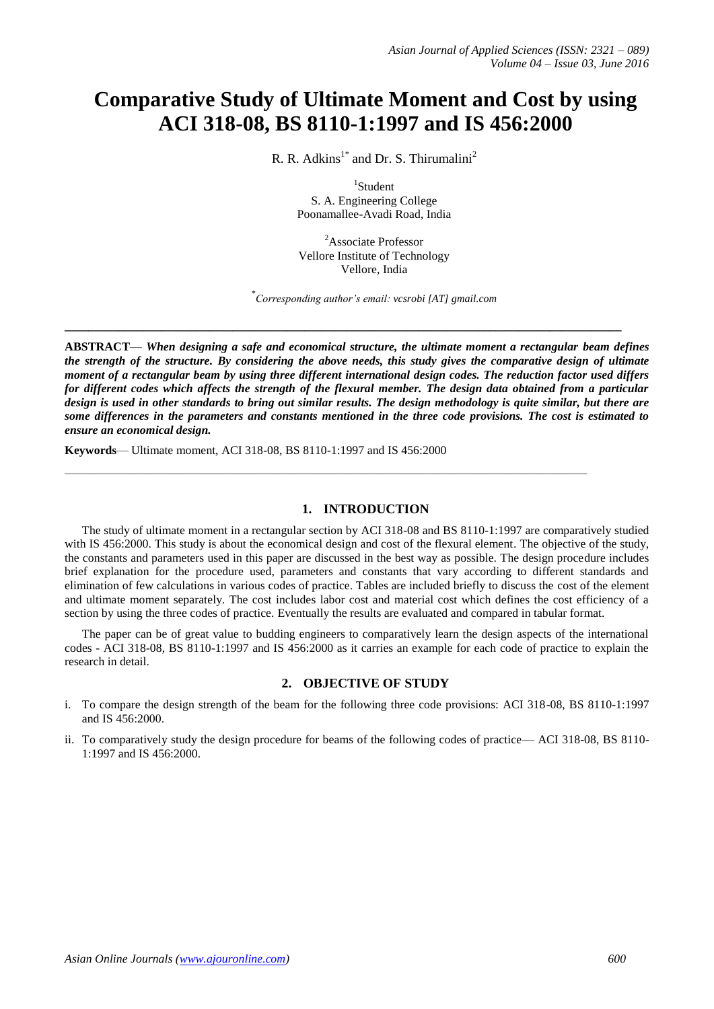# **Comparative Study of Ultimate Moment and Cost by using ACI 318-08, BS 8110-1:1997 and IS 456:2000**

R. R. Adkins<sup>1\*</sup> and Dr. S. Thirumalini<sup>2</sup>

1 Student S. A. Engineering College Poonamallee-Avadi Road, India

<sup>2</sup>Associate Professor Vellore Institute of Technology Vellore, India

\* *Corresponding author's email: [vcsrobi \[AT\] gmail.com](mailto:vcsrobi@gmail.com)*

**ABSTRACT**— *When designing a safe and economical structure, the ultimate moment a rectangular beam defines the strength of the structure. By considering the above needs, this study gives the comparative design of ultimate moment of a rectangular beam by using three different international design codes. The reduction factor used differs for different codes which affects the strength of the flexural member. The design data obtained from a particular design is used in other standards to bring out similar results. The design methodology is quite similar, but there are some differences in the parameters and constants mentioned in the three code provisions. The cost is estimated to ensure an economical design.*

**\_\_\_\_\_\_\_\_\_\_\_\_\_\_\_\_\_\_\_\_\_\_\_\_\_\_\_\_\_\_\_\_\_\_\_\_\_\_\_\_\_\_\_\_\_\_\_\_\_\_\_\_\_\_\_\_\_\_\_\_\_\_\_\_\_\_\_\_\_\_\_\_\_\_\_\_\_\_\_\_\_\_\_\_\_\_\_\_\_\_\_\_\_**

 $\_$  ,  $\_$  ,  $\_$  ,  $\_$  ,  $\_$  ,  $\_$  ,  $\_$  ,  $\_$  ,  $\_$  ,  $\_$  ,  $\_$  ,  $\_$  ,  $\_$  ,  $\_$  ,  $\_$  ,  $\_$  ,  $\_$  ,  $\_$  ,  $\_$  ,  $\_$  ,  $\_$  ,  $\_$  ,  $\_$  ,  $\_$  ,  $\_$  ,  $\_$  ,  $\_$  ,  $\_$  ,  $\_$  ,  $\_$  ,  $\_$  ,  $\_$  ,  $\_$  ,  $\_$  ,  $\_$  ,  $\_$  ,  $\_$  ,

**Keywords**— Ultimate moment, ACI 318-08, BS 8110-1:1997 and IS 456:2000

### **1. INTRODUCTION**

The study of ultimate moment in a rectangular section by ACI 318-08 and BS 8110-1:1997 are comparatively studied with IS 456:2000. This study is about the economical design and cost of the flexural element. The objective of the study, the constants and parameters used in this paper are discussed in the best way as possible. The design procedure includes brief explanation for the procedure used, parameters and constants that vary according to different standards and elimination of few calculations in various codes of practice. Tables are included briefly to discuss the cost of the element and ultimate moment separately. The cost includes labor cost and material cost which defines the cost efficiency of a section by using the three codes of practice. Eventually the results are evaluated and compared in tabular format.

The paper can be of great value to budding engineers to comparatively learn the design aspects of the international codes - ACI 318-08, BS 8110-1:1997 and IS 456:2000 as it carries an example for each code of practice to explain the research in detail.

#### **2. OBJECTIVE OF STUDY**

- i. To compare the design strength of the beam for the following three code provisions: ACI 318-08, BS 8110-1:1997 and IS 456:2000.
- ii. To comparatively study the design procedure for beams of the following codes of practice— ACI 318-08, BS 8110- 1:1997 and IS 456:2000.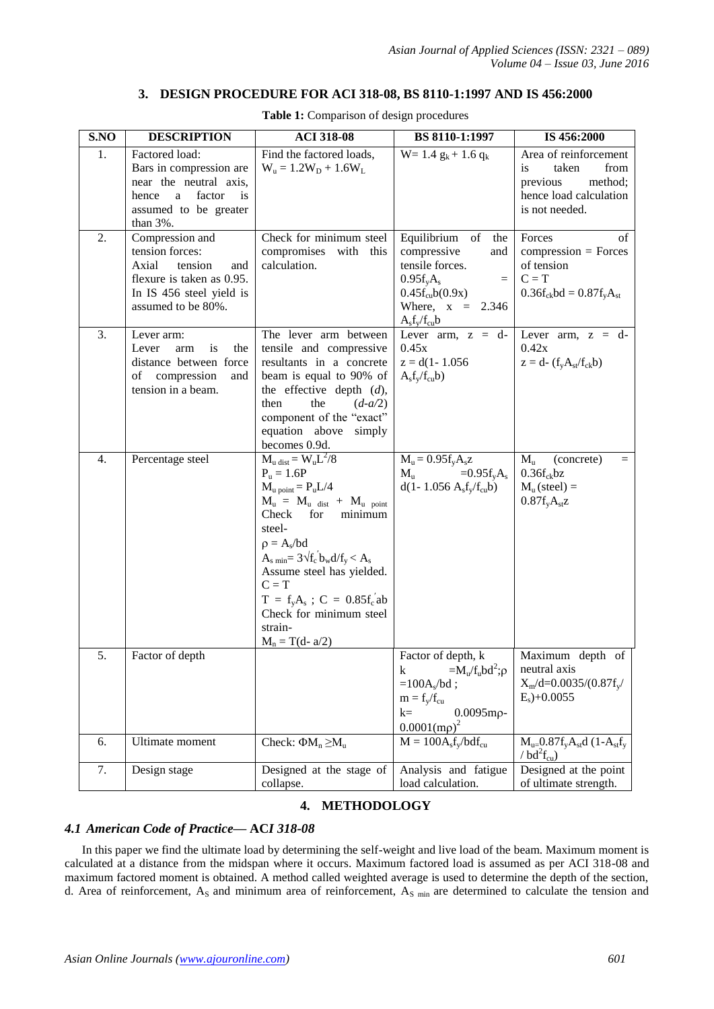# **3. DESIGN PROCEDURE FOR ACI 318-08, BS 8110-1:1997 AND IS 456:2000**

| S.NO             | <b>DESCRIPTION</b>                                                                                                                                | <b>ACI 318-08</b>                                                                                                                                                                                                                                                                                                                                       | BS 8110-1:1997                                                                                                                                             | IS 456:2000                                                                                                                                                                                       |
|------------------|---------------------------------------------------------------------------------------------------------------------------------------------------|---------------------------------------------------------------------------------------------------------------------------------------------------------------------------------------------------------------------------------------------------------------------------------------------------------------------------------------------------------|------------------------------------------------------------------------------------------------------------------------------------------------------------|---------------------------------------------------------------------------------------------------------------------------------------------------------------------------------------------------|
| 1.               | Factored load:<br>Bars in compression are<br>near the neutral axis,<br>hence<br>factor<br>a<br><i>is</i><br>assumed to be greater<br>than $3\%$ . | Find the factored loads,<br>$W_u = 1.2W_D + 1.6W_L$                                                                                                                                                                                                                                                                                                     | $W = 1.4 g_k + 1.6 g_k$                                                                                                                                    | Area of reinforcement<br>taken<br>from<br><i>is</i><br>previous<br>method;<br>hence load calculation<br>is not needed.                                                                            |
| 2.               | Compression and<br>tension forces:<br>Axial<br>tension<br>and<br>flexure is taken as 0.95.<br>In IS 456 steel yield is<br>assumed to be 80%.      | Check for minimum steel<br>compromises with this<br>calculation.                                                                                                                                                                                                                                                                                        | Equilibrium of<br>the<br>compressive<br>and<br>tensile forces.<br>$0.95f_vA_s$<br>$=$<br>$0.45f_{\rm cu}b(0.9x)$<br>Where, $x = 2.346$<br>$A_sf_v/f_{cu}b$ | Forces<br>οf<br>$compression = Forces$<br>of tension<br>$C = T$<br>$0.36f_{ck}bd = 0.87f_{v}A_{st}$                                                                                               |
| 3.               | Lever arm:<br>Lever<br>is<br>the<br>arm<br>distance between force<br>of compression<br>and<br>tension in a beam.                                  | The lever arm between<br>tensile and compressive<br>resultants in a concrete<br>beam is equal to 90% of<br>the effective depth $(d)$ ,<br>$(d-a/2)$<br>then<br>the<br>component of the "exact"<br>equation above simply<br>becomes 0.9d.                                                                                                                | Lever arm, $z = d$ -<br>0.45x<br>$z = d(1 - 1.056)$<br>$A_s f_y/f_{cu} b$                                                                                  | Lever arm, $z = d$ -<br>0.42x<br>$z = d - (f_y A_{st}/f_{ck}b)$                                                                                                                                   |
| $\overline{4}$ . | Percentage steel                                                                                                                                  | $M_u$ dist = $W_uL^2/8$<br>$P_u = 1.6P$<br>$M_{u \text{ point}} = P_u L/4$<br>$M_u = M_u$ dist + $M_u$ point<br>Check<br>minimum<br>for<br>steel-<br>$\rho = A_s/bd$<br>$As min = 3\sqrt{f_c} b_w d/f_y < As$<br>Assume steel has yielded.<br>$C = T$<br>$T = f_y A_s$ ; $C = 0.85 f_c'$ ab<br>Check for minimum steel<br>strain-<br>$M_n = T(d - a/2)$ | $M_u = 0.95f_vA_sz$<br>$=0.95f_vA_s$<br>$M_{\rm u}$<br>$d(1 - 1.056 \text{ A}_s f_v/f_{cu} b)$                                                             | $M_{\rm u}$<br>(concrete)<br>$=$<br>$0.36f_{ck}$ bz<br>$M_u$ (steel) =<br>$0.87f_vA_{st}z$                                                                                                        |
| 5.               | Factor of depth                                                                                                                                   |                                                                                                                                                                                                                                                                                                                                                         | Factor of depth, k<br>$=M_u/f_u bd^2$ ; $\rho$<br>k<br>$=100As/bd;$<br>$m = f_y/f_{cu}$<br>$0.0095$ mp-<br>$k=$<br>$0.0001$ (mp) <sup>2</sup>              | Maximum depth of<br>neutral axis<br>$X_m/d=0.0035/(0.87f_v/$<br>$E_s$ )+0.0055                                                                                                                    |
| 6.               | Ultimate moment                                                                                                                                   | Check: $\Phi M_n \geq M_u$                                                                                                                                                                                                                                                                                                                              | $M = 100A_s f_v/b df_{cu}$                                                                                                                                 | $\overline{\mathrm{M}_{\mathrm{u}}}=0.87\mathrm{f}_{\mathrm{y}}\mathrm{A}_{\mathrm{st}}\mathrm{d}$ (1- $\mathrm{A}_{\mathrm{st}}\mathrm{f}_{\mathrm{y}}$<br>/ $\text{bd}^2\text{f}_{\text{cu}}$ ) |
| 7.               | Design stage                                                                                                                                      | Designed at the stage of<br>collapse.                                                                                                                                                                                                                                                                                                                   | Analysis and fatigue<br>load calculation.                                                                                                                  | Designed at the point<br>of ultimate strength.                                                                                                                                                    |

**Table 1:** Comparison of design procedures

# **4. METHODOLOGY**

## *4.1 American Code of Practice—* **AC***I 318-08*

In this paper we find the ultimate load by determining the self-weight and live load of the beam. Maximum moment is calculated at a distance from the midspan where it occurs. Maximum factored load is assumed as per ACI 318-08 and maximum factored moment is obtained. A method called weighted average is used to determine the depth of the section, d. Area of reinforcement,  $A_s$  and minimum area of reinforcement,  $A_s$  min are determined to calculate the tension and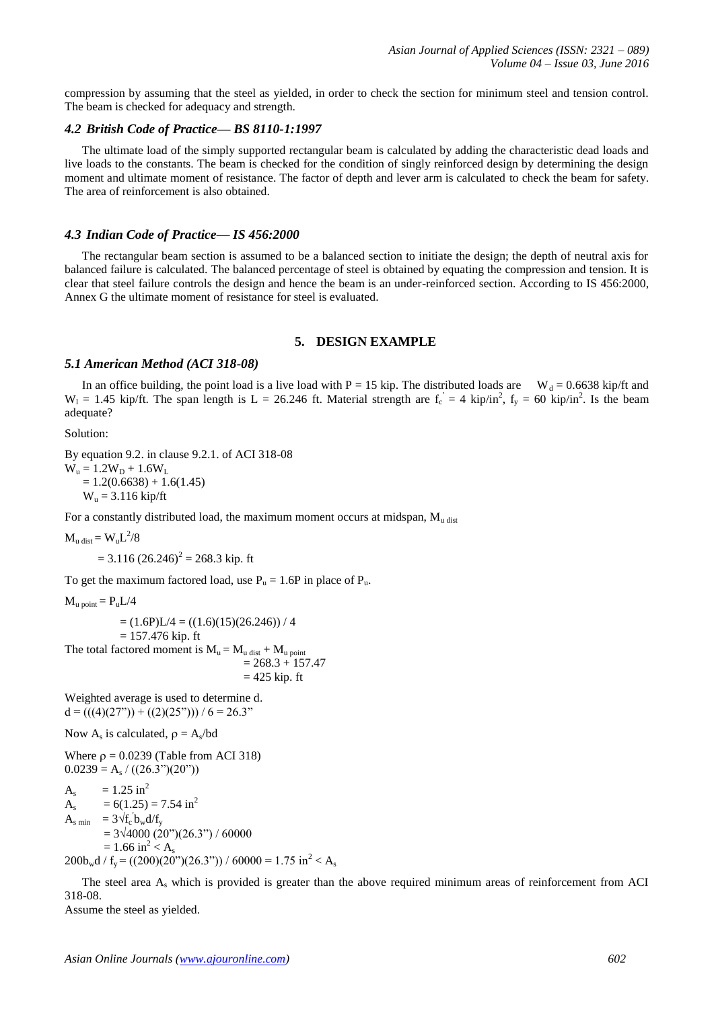compression by assuming that the steel as yielded, in order to check the section for minimum steel and tension control. The beam is checked for adequacy and strength.

#### *4.2 British Code of Practice— BS 8110-1:1997*

The ultimate load of the simply supported rectangular beam is calculated by adding the characteristic dead loads and live loads to the constants. The beam is checked for the condition of singly reinforced design by determining the design moment and ultimate moment of resistance. The factor of depth and lever arm is calculated to check the beam for safety. The area of reinforcement is also obtained.

#### *4.3 Indian Code of Practice— IS 456:2000*

The rectangular beam section is assumed to be a balanced section to initiate the design; the depth of neutral axis for balanced failure is calculated. The balanced percentage of steel is obtained by equating the compression and tension. It is clear that steel failure controls the design and hence the beam is an under-reinforced section. According to IS 456:2000, Annex G the ultimate moment of resistance for steel is evaluated.

#### **5. DESIGN EXAMPLE**

#### *5.1 American Method (ACI 318-08)*

In an office building, the point load is a live load with P = 15 kip. The distributed loads are W<sub>d</sub> = 0.6638 kip/ft and  $W_1 = 1.45$  kip/ft. The span length is  $L = 26.246$  ft. Material strength are  $f_c = 4$  kip/in<sup>2</sup>,  $f_y = 60$  kip/in<sup>2</sup>. Is the beam adequate?

Solution:

By equation 9.2. in clause 9.2.1. of ACI 318-08  $W_u = 1.2W_D + 1.6W_L$  $= 1.2(0.6638) + 1.6(1.45)$  $W_{\rm u} = 3.116 \text{ kip/ft}$ 

For a constantly distributed load, the maximum moment occurs at midspan,  $M_{u \text{ dist}}$ 

 $M_{u \text{ dist}} = W_u L^2/8$ 

 $= 3.116 (26.246)^{2} = 268.3$  kip. ft

To get the maximum factored load, use  $P_u = 1.6P$  in place of  $P_u$ .

 $M_{\text{u point}} = P_{\text{u}}L/4$ 

 $= (1.6P)L/4 = ((1.6)(15)(26.246)) / 4$  $= 157.476$  kip. ft The total factored moment is  $M_u = M_u$  dist +  $M_u$  point  $= 268.3 + 157.47$  $= 425$  kip. ft

Weighted average is used to determine d.  $d = (((4)(27<sup>''</sup>)) + ((2)(25<sup>''</sup>))) / 6 = 26.3<sup>''</sup>$ 

Now  $A_s$  is calculated,  $\rho = A_s/bd$ 

Where  $\rho = 0.0239$  (Table from ACI 318)  $0.0239 = A<sub>s</sub> / ((26.3<sup>''</sup>)(20<sup>''</sup>))$ 

 $A_s = 1.25 \text{ in}^2$  $A<sub>a</sub>$  $= 6(1.25) = 7.54$  in<sup>2</sup>  $A_{\rm s,min}$  =  $3\sqrt{f_c}$  b<sub>w</sub>d/f<sub>y</sub>  $= 3\sqrt{4000} (20^{\circ})(26.3^{\circ}) / 60000$  $= 1.66$  in<sup>2</sup> < A<sub>s</sub>  $200b_w d / f_y = ((200)(20^{\circ})(26.3^{\circ})) / 60000 = 1.75 \text{ in}^2 < A_s$ 

The steel area A<sup>s</sup> which is provided is greater than the above required minimum areas of reinforcement from ACI 318-08.

Assume the steel as yielded.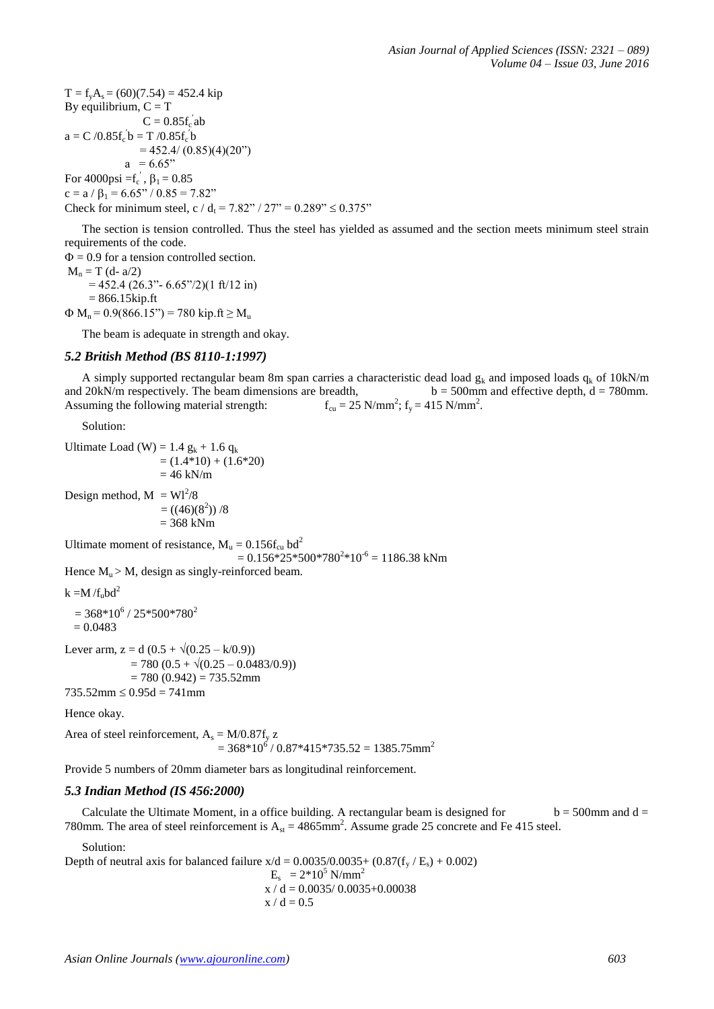$T = f_y A_s = (60)(7.54) = 452.4$  kip By equilibrium,  $C = T$  $C = 0.85 f_c$  ab  $a = C / 0.85 f_c' b = T / 0.85 f_c' b$  $= 452.4/(0.85)(4)(20)$  $a = 6.65$ " For 4000psi = $f_c$ <sup>'</sup>,  $\beta_1 = 0.85$  $c = a / \beta_1 = 6.65^{\circ} / 0.85 = 7.82^{\circ}$ Check for minimum steel, c / d<sub>t</sub> = 7.82" / 27" = 0.289"  $\leq$  0.375"

The section is tension controlled. Thus the steel has yielded as assumed and the section meets minimum steel strain requirements of the code.

 $\Phi$  = 0.9 for a tension controlled section.  $M_n = T (d - a/2)$  $= 452.4$  (26.3" - 6.65"/2)(1 ft/12 in)  $= 866.15$ kip.ft  $\Phi$  M<sub>n</sub> = 0.9(866.15") = 780 kip.ft  $\geq$  M<sub>u</sub>

The beam is adequate in strength and okay.

## *5.2 British Method (BS 8110-1:1997)*

A simply supported rectangular beam 8m span carries a characteristic dead load  $g_k$  and imposed loads  $q_k$  of 10kN/m and 20kN/m respectively. The beam dimensions are breadth,  $b = 500$ mm and effective depth, d = 780mm. Assuming the following material strength: ;  $f_y = 415 \text{ N/mm}^2$ .

Solution:

Ultimate Load (W) = 1.4  $g_k$  + 1.6  $q_k$  $= (1.4*10) + (1.6*20)$  $= 46$  kN/m Design method,  $M = Wl^2/8$  $= ((46)(8<sup>2</sup>))/8$  $= 368$  kNm Ultimate moment of resistance,  $M_{\text{u}} = 0.156 f_{\text{cu}}$  bd<sup>2</sup>  $= 0.156*25*500*780<sup>2</sup>*10<sup>-6</sup> = 1186.38$  kNm Hence  $M_u > M$ , design as singly-reinforced beam.  $k = M/f<sub>u</sub>bd<sup>2</sup>$  $= 368*10^{6}$  / 25\*500\*780<sup>2</sup>  $= 0.0483$ Lever arm,  $z = d (0.5 + \sqrt{(0.25 - k/0.9)})$  $= 780 (0.5 + \sqrt{(0.25 - 0.0483/0.9)})$  $= 780 (0.942) = 735.52$ mm  $735.52$ mm  $\leq 0.95d = 741$ mm Hence okay. Area of steel reinforcement,  $A_s = M/0.87f_v z$ 

 $= 368*10<sup>6</sup> / 0.87*415*735.52 = 1385.75$ mm<sup>2</sup>

Provide 5 numbers of 20mm diameter bars as longitudinal reinforcement.

#### *5.3 Indian Method (IS 456:2000)*

Calculate the Ultimate Moment, in a office building. A rectangular beam is designed for  $b = 500$ mm and d = 780mm. The area of steel reinforcement is  $A_{st} = 4865$ mm<sup>2</sup>. Assume grade 25 concrete and Fe 415 steel.

Solution:

Depth of neutral axis for balanced failure  $x/d = 0.0035/0.0035 + (0.87(f_v / E_s) + 0.002)$  $E_s = 2*10^5$  N/mm<sup>2</sup>  $x / d = 0.0035 / 0.0035 + 0.00038$ 

$$
x \mathbin{/} d = 0.5
$$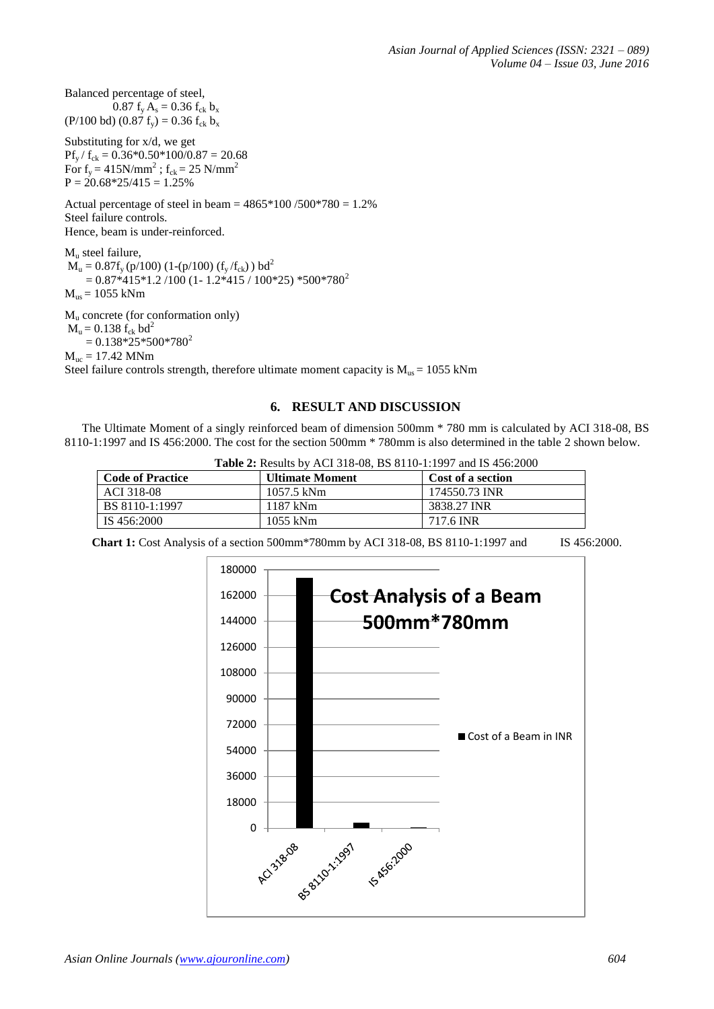Balanced percentage of steel, 0.87  $f_v A_s = 0.36 f_{ck} b_x$ (P/100 bd) (0.87  $f_y$ ) = 0.36  $f_{ck}$  b<sub>x</sub>

Substituting for x/d, we get  $Pf_v / f_{ck} = 0.36*0.50*100/0.87 = 20.68$ For  $f_y = 415N/mm^2$ ;  $f_{ck} = 25 N/mm^2$  $P = 20.68*25/415 = 1.25%$ 

Actual percentage of steel in beam =  $4865*100 / 500*780 = 1.2%$ Steel failure controls. Hence, beam is under-reinforced.

M<sub>u</sub> steel failure,  $M_u = 0.87f_y (p/100) (1-(p/100) (f_y/f_{ck})) bd^2$  $= 0.87*415*1.2 /100 (1 - 1.2*415 / 100*25) *500*780^2$  $M_{us}$  = 1055 kNm

 $M<sub>u</sub>$  concrete (for conformation only)  $M_{u} = 0.138 f_{ck} bd^{2}$  $= 0.138*25*500*780<sup>2</sup>$ 

 $M_{\text{uc}} = 17.42$  MNm

Steel failure controls strength, therefore ultimate moment capacity is  $M_{us} = 1055$  kNm

# **6. RESULT AND DISCUSSION**

The Ultimate Moment of a singly reinforced beam of dimension 500mm \* 780 mm is calculated by ACI 318-08, BS 8110-1:1997 and IS 456:2000. The cost for the section 500mm \* 780mm is also determined in the table 2 shown below.

**Table 2:** Results by ACI 318-08, BS 8110-1:1997 and IS 456:2000

| <b>Code of Practice</b> | <b>Ultimate Moment</b> | Cost of a section |
|-------------------------|------------------------|-------------------|
| ACI 318-08              | 1057.5 kNm             | 174550.73 INR     |
| BS 8110-1:1997          | 1187 kNm               | 3838.27 INR       |
| IS 456:2000             | 1055 kNm               | 717.6 INR         |

**Chart 1:** Cost Analysis of a section 500mm\*780mm by ACI 318-08, BS 8110-1:1997 and IS 456:2000.

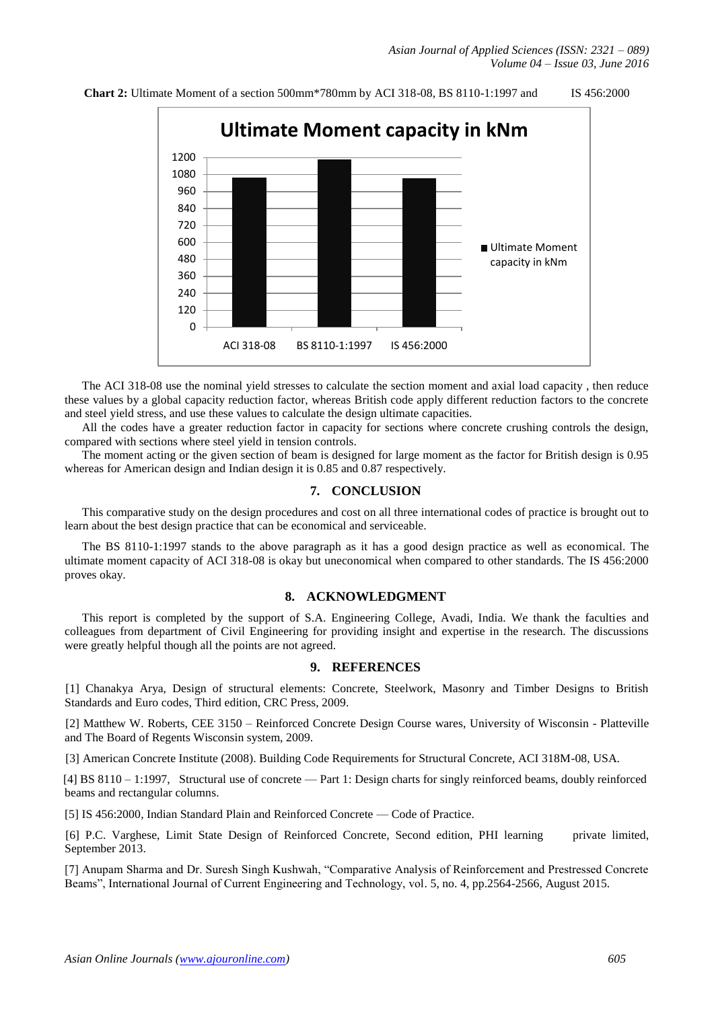

#### **Chart 2:** Ultimate Moment of a section 500mm\*780mm by ACI 318-08, BS 8110-1:1997 and IS 456:2000

The ACI 318-08 use the nominal yield stresses to calculate the section moment and axial load capacity , then reduce these values by a global capacity reduction factor, whereas British code apply different reduction factors to the concrete and steel yield stress, and use these values to calculate the design ultimate capacities.

All the codes have a greater reduction factor in capacity for sections where concrete crushing controls the design, compared with sections where steel yield in tension controls.

The moment acting or the given section of beam is designed for large moment as the factor for British design is 0.95 whereas for American design and Indian design it is 0.85 and 0.87 respectively.

# **7. CONCLUSION**

This comparative study on the design procedures and cost on all three international codes of practice is brought out to learn about the best design practice that can be economical and serviceable.

The BS 8110-1:1997 stands to the above paragraph as it has a good design practice as well as economical. The ultimate moment capacity of ACI 318-08 is okay but uneconomical when compared to other standards. The IS 456:2000 proves okay.

# **8. ACKNOWLEDGMENT**

This report is completed by the support of S.A. Engineering College, Avadi, India. We thank the faculties and colleagues from department of Civil Engineering for providing insight and expertise in the research. The discussions were greatly helpful though all the points are not agreed.

## **9. REFERENCES**

 [1] Chanakya Arya, Design of structural elements: Concrete, Steelwork, Masonry and Timber Designs to British Standards and Euro codes, Third edition, CRC Press, 2009.

 [2] Matthew W. Roberts, CEE 3150 – Reinforced Concrete Design Course wares, University of Wisconsin - Platteville and The Board of Regents Wisconsin system, 2009.

[3] American Concrete Institute (2008). Building Code Requirements for Structural Concrete, ACI 318M-08, USA.

 [4] BS 8110 – 1:1997, Structural use of concrete — Part 1: Design charts for singly reinforced beams, doubly reinforced beams and rectangular columns.

[5] IS 456:2000, Indian Standard Plain and Reinforced Concrete — Code of Practice.

 [6] P.C. Varghese, Limit State Design of Reinforced Concrete, Second edition, PHI learning private limited, September 2013.

[7] Anupam Sharma and Dr. Suresh Singh Kushwah, "Comparative Analysis of Reinforcement and Prestressed Concrete Beams", International Journal of Current Engineering and Technology, vol. 5, no. 4, pp.2564-2566, August 2015.